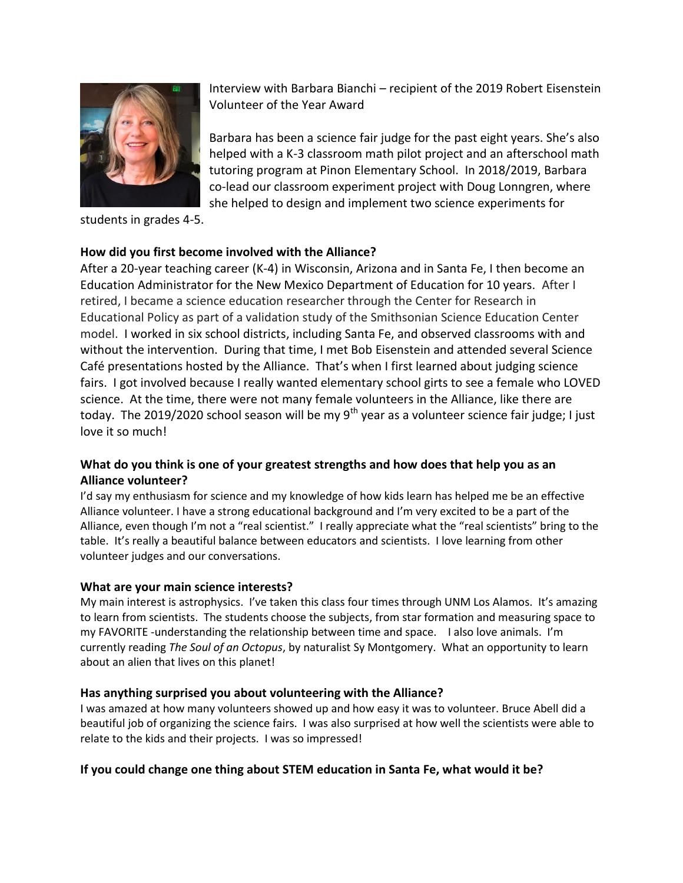

students in grades 4-5.

# **How did you first become involved with the Alliance?**

After a 20-year teaching career (K-4) in Wisconsin, Arizona and in Santa Fe, I then become an Education Administrator for the New Mexico Department of Education for 10 years. After I retired, I became a science education researcher through the Center for Research in Educational Policy as part of a validation study of the Smithsonian Science Education Center model. I worked in six school districts, including Santa Fe, and observed classrooms with and without the intervention. During that time, I met Bob Eisenstein and attended several Science Café presentations hosted by the Alliance. That's when I first learned about judging science fairs. I got involved because I really wanted elementary school girts to see a female who LOVED science. At the time, there were not many female volunteers in the Alliance, like there are today. The 2019/2020 school season will be my  $9^{th}$  year as a volunteer science fair judge; I just love it so much!

# **What do you think is one of your greatest strengths and how does that help you as an Alliance volunteer?**

I'd say my enthusiasm for science and my knowledge of how kids learn has helped me be an effective Alliance volunteer. I have a strong educational background and I'm very excited to be a part of the Alliance, even though I'm not a "real scientist." I really appreciate what the "real scientists" bring to the table. It's really a beautiful balance between educators and scientists. I love learning from other volunteer judges and our conversations.

## **What are your main science interests?**

My main interest is astrophysics. I've taken this class four times through UNM Los Alamos. It's amazing to learn from scientists. The students choose the subjects, from star formation and measuring space to my FAVORITE -understanding the relationship between time and space. I also love animals. I'm currently reading *The Soul of an Octopus*, by naturalist Sy Montgomery. What an opportunity to learn about an alien that lives on this planet!

## **Has anything surprised you about volunteering with the Alliance?**

I was amazed at how many volunteers showed up and how easy it was to volunteer. Bruce Abell did a beautiful job of organizing the science fairs. I was also surprised at how well the scientists were able to relate to the kids and their projects. I was so impressed!

#### **If you could change one thing about STEM education in Santa Fe, what would it be?**

Interview with Barbara Bianchi – recipient of the 2019 Robert Eisenstein Volunteer of the Year Award

Barbara has been a science fair judge for the past eight years. She's also helped with a K-3 classroom math pilot project and an afterschool math tutoring program at Pinon Elementary School. In 2018/2019, Barbara co-lead our classroom experiment project with Doug Lonngren, where she helped to design and implement two science experiments for